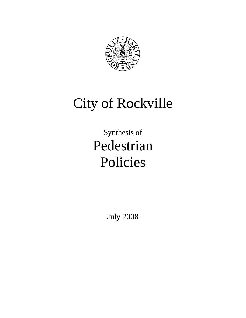

# City of Rockville

# Synthesis of Pedestrian Policies

July 2008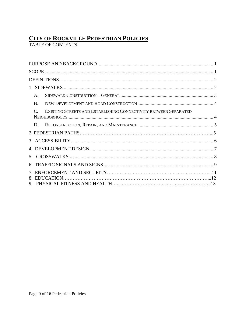# **CITY OF ROCKVILLE PEDESTRIAN POLICIES**<br>TABLE OF CONTENTS

| $\mathsf{A}$ .                                                                                  |  |
|-------------------------------------------------------------------------------------------------|--|
| $\mathbf{B}$                                                                                    |  |
| EXISTING STREETS AND ESTABLISHING CONNECTIVITY BETWEEN SEPARATED<br>$\mathcal{C}_{\mathcal{C}}$ |  |
| D.                                                                                              |  |
|                                                                                                 |  |
|                                                                                                 |  |
|                                                                                                 |  |
|                                                                                                 |  |
|                                                                                                 |  |
|                                                                                                 |  |
|                                                                                                 |  |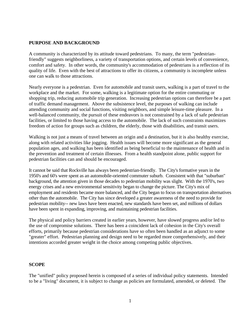#### <span id="page-2-0"></span>**PURPOSE AND BACKGROUND**

A community is characterized by its attitude toward pedestrians. To many, the term "pedestrianfriendly" suggests neighborliness, a variety of transportation options, and certain levels of convenience, comfort and safety. In other words, the community's accommodation of pedestrians is a reflection of its quality of life. Even with the best of attractions to offer its citizens, a community is incomplete unless one can walk to those attractions.

Nearly everyone is a pedestrian. Even for automobile and transit users, walking is a part of travel to the workplace and the market. For some, walking is a legitimate option for the entire commuting or shopping trip, reducing automobile trip generation. Increasing pedestrian options can therefore be a part of traffic demand management. Above the subsistence level, the purposes of walking can include attending community and social functions, visiting neighbors, and simple leisure-time pleasure. In a well-balanced community, the pursuit of these endeavors is not constrained by a lack of safe pedestrian facilities, or limited to those having access to the automobile. The lack of such constraints maximizes freedom of action for groups such as children, the elderly, those with disabilities, and transit users.

Walking is not just a means of travel between an origin and a destination, but it is also healthy exercise, along with related activities like jogging. Health issues will become more significant as the general population ages, and walking has been identified as being beneficial to the maintenance of health and in the prevention and treatment of certain illnesses. From a health standpoint alone, public support for pedestrian facilities can and should be encouraged.

It cannot be said that Rockville has always been pedestrian-friendly. The City's formative years in the 1950's and 60's were spent as an automobile-oriented commuter suburb. Consistent with that "suburban" background, the attention given in those decades to pedestrian mobility was slight. With the 1970's, two energy crises and a new environmental sensitivity began to change the picture. The City's mix of employment and residents became more balanced, and the City began to focus on transportation alternatives other than the automobile. The City has since developed a greater awareness of the need to provide for pedestrian mobility-- new laws have been enacted, new standards have been set, and millions of dollars have been spent in expanding, improving, and maintaining pedestrian facilities.

The physical and policy barriers created in earlier years, however, have slowed progress and/or led to the use of compromise solutions. There has been a coincident lack of cohesion in the City's overall efforts, primarily because pedestrian considerations have so often been handled as an adjunct to some "greater" effort. Pedestrian planning and design need to be regarded more comprehensively, and their intentions accorded greater weight in the choice among competing public objectives.

#### **SCOPE**

The "unified" policy proposed herein is composed of a series of individual policy statements. Intended to be a "living" document, it is subject to change as policies are formulated, amended, or deleted. The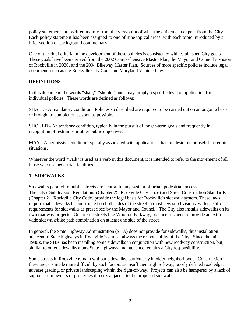<span id="page-3-0"></span>policy statements are written mainly from the viewpoint of what the citizen can expect from the City. Each policy statement has been assigned to one of nine topical areas, with each topic introduced by a brief section of background commentary.

One of the chief criteria in the development of these policies is consistency with established City goals. These goals have been derived from the 2002 Comprehensive Master Plan, the Mayor and Council's Vision of Rockville in 2020, and the 2004 Bikeway Master Plan. Sources of more specific policies include legal documents such as the Rockville City Code and Maryland Vehicle Law.

### **DEFINITIONS**

In this document, the words "shall," "should," and "may" imply a specific level of application for individual policies. These words are defined as follows:

SHALL - A mandatory condition. Policies so described are required to be carried out on an ongoing basis or brought to completion as soon as possible.

SHOULD - An advisory condition, typically in the pursuit of longer-term goals and frequently in recognition of restraints or other public objectives.

MAY - A permissive condition typically associated with applications that are desirable or useful in certain situations.

Wherever the word "walk" is used as a verb in this document, it is intended to refer to the movement of all those who use pedestrian facilities.

#### **1. SIDEWALKS**

Sidewalks parallel to public streets are central to any system of urban pedestrian access. The City's Subdivision Regulations (Chapter 25, Rockville City Code) and Street Construction Standards (Chapter 21, Rockville City Code) provide the legal basis for Rockville's sidewalk system. These laws require that sidewalks be constructed on both sides of the street in most new subdivisions, with specific requirements for sidewalks as prescribed by the Mayor and Council. The City also installs sidewalks on its own roadway projects. On arterial streets like Wootton Parkway, practice has been to provide an extrawide sidewalk/bike path combination on at least one side of the street.

In general, the State Highway Administration (SHA) does not provide for sidewalks, thus installation adjacent to State highways in Rockville is almost always the responsibility of the City. Since the mid-1980's, the SHA has been installing some sidewalks in conjunction with new roadway construction, but, similar to other sidewalks along State highways, maintenance remains a City responsibility.

Some streets in Rockville remain without sidewalks, particularly in older neighborhoods. Construction in these areas is made more difficult by such factors as insufficient right-of-way, poorly defined road edge, adverse grading, or private landscaping within the right-of-way. Projects can also be hampered by a lack of support from owners of properties directly adjacent to the proposed sidewalk.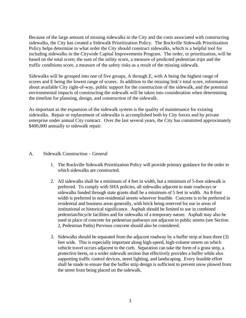<span id="page-4-0"></span>Because of the large amount of missing sidewalks in the City and the costs associated with constructing sidewalks, the City has created a Sidewalk Prioritization Policy. The Rockville Sidewalk Prioritization Policy helps determine in what order the City should construct sidewalks, which is a helpful tool for including sidewalks in the Citywide Capital Improvements Program. The order, or prioritization, will be based on the total score; the sum of the utility score, a measure of predicted pedestrian trips and the traffic conditions score, a measure of the safety risks as a result of the missing sidewalk.

Sidewalks will be grouped into one of five groups, A through E, with A being the highest range of scores and E being the lowest range of scores. In addition to the missing link's total score, information about available City right-of-way, public support for the construction of the sidewalk, and the potential environmental impacts of constructing the sidewalk will be taken into consideration when determining the timeline for planning, design, and construction of the sidewalk.

As important as the expansion of the sidewalk system is the quality of maintenance for existing sidewalks. Repair or replacement of sidewalks is accomplished both by City forces and by private enterprise under annual City contract. Over the last several years, the City has committed approximately \$400,000 annually to sidewalk repair.

#### A. Sidewalk Construction – General

- 1. The Rockville Sidewalk Prioritization Policy will provide primary guidance for the order in which sidewalks are constructed.
- 2. All sidewalks shall be a minimum of 4 feet in width, but a minimum of 5-foot sidewalk is preferred. To comply with SHA policies, all sidewalks adjacent to state roadways or sidewalks funded through state grants shall be a minimum of 5 feet in width. An 8-foot width is preferred in non-residential streets wherever feasible. Concrete is to be preferred in residential and business areas generally, with brick being reserved for use in areas of institutional or historical significance. Asphalt should be limited to use in combined pedestrian/bicycle facilities and for sidewalks of a temporary nature. Asphalt may also be used in place of concrete for pedestrian pathways not adjacent to public streets (see Section 2, Pedestrian Paths) Pervious concrete should also be considered.
- 3. Sidewalks should be separated from the adjacent roadway by a buffer strip at least three (3) feet wide. This is especially important along high-speed, high-volume streets on which vehicle travel occurs adjacent to the curb. Separation can take the form of a grass strip, a protective berm, or a wider sidewalk section that effectively provides a buffer while also supporting traffic control devices, street lighting, and landscaping. Every feasible effort shall be made to ensure that the buffer strip design is sufficient to prevent snow plowed from the street from being placed on the sidewalk.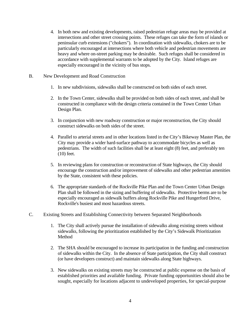- <span id="page-5-0"></span>4. In both new and existing developments, raised pedestrian refuge areas may be provided at intersections and other street crossing points. These refuges can take the form of islands or peninsular curb extensions ("chokers"). In coordination with sidewalks, chokers are to be particularly encouraged at intersections where both vehicle and pedestrian movements are heavy and where on-street parking may be desirable. Such refuges shall be considered in accordance with supplemental warrants to be adopted by the City. Island refuges are especially encouraged in the vicinity of bus stops.
- B. New Development and Road Construction
	- 1. In new subdivisions, sidewalks shall be constructed on both sides of each street.
	- 2. In the Town Center, sidewalks shall be provided on both sides of each street, and shall be constructed in compliance with the design criteria contained in the Town Center Urban Design Plan.
	- 3. In conjunction with new roadway construction or major reconstruction, the City should construct sidewalks on both sides of the street.
	- 4. Parallel to arterial streets and in other locations listed in the City's Bikeway Master Plan, the City may provide a wider hard-surface pathway to accommodate bicycles as well as pedestrians. The width of such facilities shall be at least eight (8) feet, and preferably ten (10) feet.
	- 5. In reviewing plans for construction or reconstruction of State highways, the City should encourage the construction and/or improvement of sidewalks and other pedestrian amenities by the State, consistent with these policies.
	- 6. The appropriate standards of the Rockville Pike Plan and the Town Center Urban Design Plan shall be followed in the sizing and buffering of sidewalks. Protective berms are to be especially encouraged as sidewalk buffers along Rockville Pike and Hungerford Drive, Rockville's busiest and most hazardous streets.
- C. Existing Streets and Establishing Connectivity between Separated Neighborhoods
	- 1. The City shall actively pursue the installation of sidewalks along existing streets without sidewalks, following the prioritization established by the City's Sidewalk Prioritization **Method**
	- 2. The SHA should be encouraged to increase its participation in the funding and construction of sidewalks within the City. In the absence of State participation, the City shall construct (or have developers construct) and maintain sidewalks along State highways.
	- 3. New sidewalks on existing streets may be constructed at public expense on the basis of established priorities and available funding. Private funding opportunities should also be sought, especially for locations adjacent to undeveloped properties, for special-purpose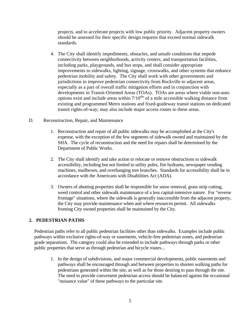<span id="page-6-0"></span>projects, and to accelerate projects with low public priority. Adjacent property owners should be assessed for their specific design requests that exceed normal sidewalk standards.

- 4. The City shall identify impediments, obstacles, and unsafe conditions that impede connectivity between neighborhoods, activity centers, and transportation facilities, including parks, playgrounds, and bus stops, and shall consider appropriate improvements to sidewalks, lighting, signage, crosswalks, and other systems that enhance pedestrian mobility and safety. The City shall work with other governments and jurisdictions to improve pedestrian connectivity from Rockville to adjacent areas, especially as a part of overall traffic mitigation efforts and in conjunction with developments in Transit-Oriented Areas (TOAs). TOAs are areas where viable non-auto options exist and include areas within  $7/10^{ths}$  of a mile accessible walking distance from existing and programmed Metro stations and fixed-guideway transit stations on dedicated transit rights-of-way; may also include major access routes to these areas.
- D. Reconstruction, Repair, and Maintenance
	- 1. Reconstruction and repair of all public sidewalks may be accomplished at the City's expense, with the exception of the few segments of sidewalk owned and maintained by the SHA. The cycle of reconstruction and the need for repairs shall be determined by the Department of Public Works.
	- 2. The City shall identify and take action to relocate or remove obstructions to sidewalk accessibility, including but not limited to utility poles, fire hydrants, newspaper vending machines, mailboxes, and overhanging tree branches. Standards for accessibility shall be in accordance with the Americans with Disabilities Act (ADA).
	- 3. Owners of abutting properties shall be responsible for snow removal, grass strip cutting, weed control and other sidewalk maintenance of a less capital-intensive nature. For "reverse frontage" situations, where the sidewalk is generally inaccessible from the adjacent property, the City may provide maintenance when and where resources permit. All sidewalks fronting City owned properties shall be maintained by the City.

#### **2. PEDESTRIAN PATHS**

Pedestrian paths refer to all public pedestrian facilities other than sidewalks. Examples include public pathways within exclusive rights-of-way or easements, vehicle-free pedestrian zones, and pedestrian grade separations. The category could also be extended to include pathways through parks or other public properties that serve as through pedestrian and bicycle routes...

1. In the design of subdivisions, and major commercial developments, public easements and pathways shall be encouraged through and between properties to shorten walking paths for pedestrians generated within the site, as well as for those desiring to pass through the site. The need to provide convenient pedestrian access should be balanced against the occasional "nuisance value" of these pathways to the particular site.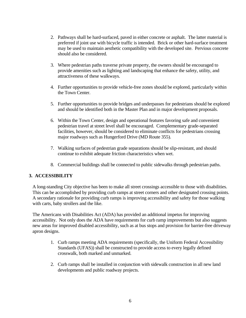- <span id="page-7-0"></span>2. Pathways shall be hard-surfaced, paved in either concrete or asphalt. The latter material is preferred if joint use with bicycle traffic is intended. Brick or other hard-surface treatment may be used to maintain aesthetic compatibility with the developed site. Pervious concrete should also be considered.
- 3. Where pedestrian paths traverse private property, the owners should be encouraged to provide amenities such as lighting and landscaping that enhance the safety, utility, and attractiveness of these walkways.
- 4. Further opportunities to provide vehicle-free zones should be explored, particularly within the Town Center.
- 5. Further opportunities to provide bridges and underpasses for pedestrians should be explored and should be identified both in the Master Plan and in major development proposals.
- 6. Within the Town Center, design and operational features favoring safe and convenient pedestrian travel at street level shall be encouraged. Complementary grade-separated facilities, however, should be considered to eliminate conflicts for pedestrians crossing major roadways such as Hungerford Drive (MD Route 355).
- 7. Walking surfaces of pedestrian grade separations should be slip-resistant, and should continue to exhibit adequate friction characteristics when wet.
- 8. Commercial buildings shall be connected to public sidewalks through pedestrian paths.

# **3. ACCESSIBILITY**

A long-standing City objective has been to make all street crossings accessible to those with disabilities. This can be accomplished by providing curb ramps at street corners and other designated crossing points. A secondary rationale for providing curb ramps is improving accessibility and safety for those walking with carts, baby strollers and the like.

The Americans with Disabilities Act (ADA) has provided an additional impetus for improving accessibility. Not only does the ADA have requirements for curb ramp improvements but also suggests new areas for improved disabled accessibility, such as at bus stops and provision for barrier-free driveway apron designs.

- 1. Curb ramps meeting ADA requirements (specifically, the Uniform Federal Accessibility Standards (UFAS)) shall be constructed to provide access to every legally defined crosswalk, both marked and unmarked.
- 2. Curb ramps shall be installed in conjunction with sidewalk construction in all new land developments and public roadway projects.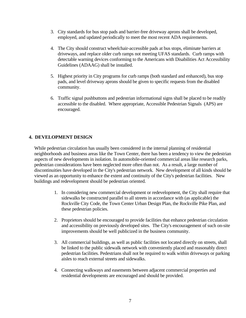- <span id="page-8-0"></span>3. City standards for bus stop pads and barrier-free driveway aprons shall be developed, employed, and updated periodically to meet the most recent ADA requirements.
- 4. The City should construct wheelchair-accessible pads at bus stops, eliminate barriers at driveways, and replace older curb ramps not meeting UFAS standards. Curb ramps with detectable warning devices conforming to the Americans with Disabilities Act Accessibility Guidelines (ADAAG) shall be installed.
- 5. Highest priority in City programs for curb ramps (both standard and enhanced), bus stop pads, and level driveway aprons should be given to specific requests from the disabled community.
- 6. Traffic signal pushbuttons and pedestrian informational signs shall be placed to be readily accessible to the disabled. Where appropriate, Accessible Pedestrian Signals (APS) are encouraged.

# **4. DEVELOPMENT DESIGN**

While pedestrian circulation has usually been considered in the internal planning of residential neighborhoods and business areas like the Town Center, there has been a tendency to view the pedestrian aspects of new developments in isolation. In automobile-oriented commercial areas like research parks, pedestrian considerations have been neglected more often than not. As a result, a large number of discontinuities have developed in the City's pedestrian network. New development of all kinds should be viewed as an opportunity to enhance the extent and continuity of the City's pedestrian facilities. New buildings and redevelopment should be pedestrian oriented.

- 1. In considering new commercial development or redevelopment, the City shall require that sidewalks be constructed parallel to all streets in accordance with (as applicable) the Rockville City Code, the Town Center Urban Design Plan, the Rockville Pike Plan, and these pedestrian policies.
- 2. Proprietors should be encouraged to provide facilities that enhance pedestrian circulation and accessibility on previously developed sites. The City's encouragement of such on-site improvements should be well publicized in the business community.
- 3. All commercial buildings, as well as public facilities not located directly on streets, shall be linked to the public sidewalk network with conveniently placed and reasonably direct pedestrian facilities. Pedestrians shall not be required to walk within driveways or parking aisles to reach external streets and sidewalks.
- 4. Connecting walkways and easements between adjacent commercial properties and residential developments are encouraged and should be provided.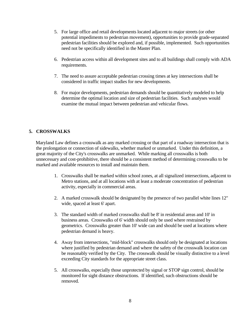- <span id="page-9-0"></span>5. For large office and retail developments located adjacent to major streets (or other potential impediments to pedestrian movement), opportunities to provide grade-separated pedestrian facilities should be explored and, if possible, implemented. Such opportunities need not be specifically identified in the Master Plan.
- 6. Pedestrian access within all development sites and to all buildings shall comply with ADA requirements.
- 7. The need to assure acceptable pedestrian crossing times at key intersections shall be considered in traffic impact studies for new developments.
- 8. For major developments, pedestrian demands should be quantitatively modeled to help determine the optimal location and size of pedestrian facilities. Such analyses would examine the mutual impact between pedestrian and vehicular flows.

### **5. CROSSWALKS**

 Maryland Law defines a crosswalk as any marked crossing or that part of a roadway intersection that is the prolongation or connection of sidewalks, whether marked or unmarked. Under this definition, a great majority of the City's crosswalks are unmarked. While marking all crosswalks is both unnecessary and cost-prohibitive, there should be a consistent method of determining crosswalks to be marked and available resources to install and maintain them.

- 1. Crosswalks shall be marked within school zones, at all signalized intersections, adjacent to Metro stations, and at all locations with at least a moderate concentration of pedestrian activity, especially in commercial areas.
- 2. A marked crosswalk should be designated by the presence of two parallel white lines 12" wide, spaced at least 6' apart.
- 3. The standard width of marked crosswalks shall be 8' in residential areas and 10' in business areas. Crosswalks of 6' width should only be used where restrained by geometrics. Crosswalks greater than 10' wide can and should be used at locations where pedestrian demand is heavy.
- 4. Away from intersections, "mid-block" crosswalks should only be designated at locations where justified by pedestrian demand and where the safety of the crosswalk location can be reasonably verified by the City. The crosswalk should be visually distinctive to a level exceeding City standards for the appropriate street class.
- 5. All crosswalks, especially those unprotected by signal or STOP sign control, should be monitored for sight distance obstructions. If identified, such obstructions should be removed.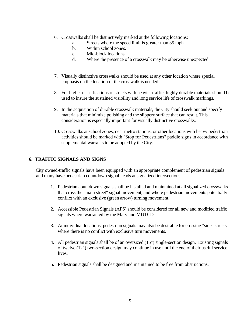- <span id="page-10-0"></span>6. Crosswalks shall be distinctively marked at the following locations:
	- a. Streets where the speed limit is greater than 35 mph.
	- b. Within school zones.
	- c. Mid-block locations.
	- d. Where the presence of a crosswalk may be otherwise unexpected.
- 7. Visually distinctive crosswalks should be used at any other location where special emphasis on the location of the crosswalk is needed.
- 8. For higher classifications of streets with heavier traffic, highly durable materials should be used to insure the sustained visibility and long service life of crosswalk markings.
- 9. In the acquisition of durable crosswalk materials, the City should seek out and specify materials that minimize polishing and the slippery surface that can result. This consideration is especially important for visually distinctive crosswalks.
- 10. Crosswalks at school zones, near metro stations, or other locations with heavy pedestrian activities should be marked with "Stop for Pedestrians" paddle signs in accordance with supplemental warrants to be adopted by the City.

#### **6. TRAFFIC SIGNALS AND SIGNS**

 City owned-traffic signals have been equipped with an appropriate complement of pedestrian signals and many have pedestrian countdown signal heads at signalized intersections.

- 1. Pedestrian countdown signals shall be installed and maintained at all signalized crosswalks that cross the "main street" signal movement, and where pedestrian movements potentially conflict with an exclusive (green arrow) turning movement.
- 2. Accessible Pedestrian Signals (APS) should be considered for all new and modified traffic signals where warranted by the Maryland MUTCD.
- 3. At individual locations, pedestrian signals may also be desirable for crossing "side" streets, where there is no conflict with exclusive turn movements.
- 4. All pedestrian signals shall be of an oversized (15") single-section design. Existing signals of twelve (12") two-section design may continue in use until the end of their useful service lives.
- 5. Pedestrian signals shall be designed and maintained to be free from obstructions.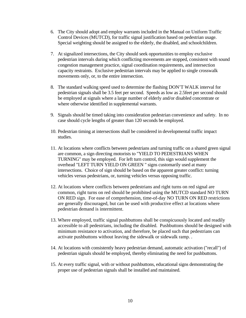- 6. The City should adopt and employ warrants included in the Manual on Uniform Traffic Control Devices (MUTCD), for traffic signal justification based on pedestrian usage. Special weighting should be assigned to the elderly, the disabled, and schoolchildren.
- 7. At signalized intersections, the City should seek opportunities to employ exclusive pedestrian intervals during which conflicting movements are stopped, consistent with sound congestion management practice, signal coordination requirements, and intersection capacity restraints. Exclusive pedestrian intervals may be applied to single crosswalk movements only, or, to the entire intersection.
- 8. The standard walking speed used to determine the flashing DON'T WALK interval for pedestrian signals shall be 3.5 feet per second. Speeds as low as 2.5feet per second should be employed at signals where a large number of elderly and/or disabled concentrate or where otherwise identified in supplemental warrants.
- 9. Signals should be timed taking into consideration pedestrian convenience and safety. In no case should cycle lengths of greater than 120 seconds be employed.
- 10. Pedestrian timing at intersections shall be considered in developmental traffic impact studies.
- 11. At locations where conflicts between pedestrians and turning traffic on a shared green signal are common, a sign directing motorists to "YIELD TO PEDESTRIANS WHEN TURNING" may be employed. For left turn control, this sign would supplement the overhead "LEFT TURN YIELD ON GREEN " signs customarily used at many intersections. Choice of sign should be based on the apparent greater conflict: turning vehicles versus pedestrians, or, turning vehicles versus opposing traffic.
- 12. At locations where conflicts between pedestrians and right turns on red signal are common, right turns on red should be prohibited using the MUTCD standard NO TURN ON RED sign. For ease of comprehension, time-of-day NO TURN ON RED restrictions are generally discouraged, but can be used with productive effect at locations where pedestrian demand is intermittent.
- 13. Where employed, traffic signal pushbuttons shall be conspicuously located and readily accessible to all pedestrians, including the disabled. Pushbuttons should be designed with minimum resistance to activation, and therefore, be placed such that pedestrians can activate pushbuttons without leaving the sidewalk or sidewalk ramp. .
- 14. At locations with consistently heavy pedestrian demand, automatic activation ("recall") of pedestrian signals should be employed, thereby eliminating the need for pushbuttons.
- 15. At every traffic signal, with or without pushbuttons, educational signs demonstrating the proper use of pedestrian signals shall be installed and maintained.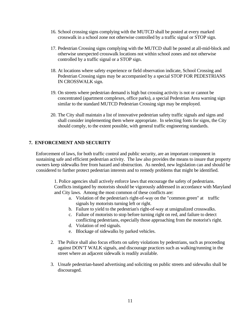- <span id="page-12-0"></span>16. School crossing signs complying with the MUTCD shall be posted at every marked crosswalk in a school zone not otherwise controlled by a traffic signal or STOP sign.
- 17. Pedestrian Crossing signs complying with the MUTCD shall be posted at all-mid-block and otherwise unexpected crosswalk locations not within school zones and not otherwise controlled by a traffic signal or a STOP sign.
- 18. At locations where safety experience or field observation indicate, School Crossing and Pedestrian Crossing signs may be accompanied by a special STOP FOR PEDESTRIANS IN CROSSWALK sign.
- 19. On streets where pedestrian demand is high but crossing activity is not or cannot be concentrated (apartment complexes, office parks), a special Pedestrian Area warning sign similar to the standard MUTCD Pedestrian Crossing sign may be employed.
- 20. The City shall maintain a list of innovative pedestrian safety traffic signals and signs and shall consider implementing them where appropriate. In selecting fonts for signs, the City should comply, to the extent possible, with general traffic engineering standards.

#### **7. ENFORCEMENT AND SECURITY**

 Enforcement of laws, for both traffic control and public security, are an important component in sustaining safe and efficient pedestrian activity. The law also provides the means to insure that property owners keep sidewalks free from hazard and obstruction. As needed, new legislation can and should be considered to further protect pedestrian interests and to remedy problems that might be identified.

1. Police agencies shall actively enforce laws that encourage the safety of pedestrians. Conflicts instigated by motorists should be vigorously addressed in accordance with Maryland and City laws. Among the most common of these conflicts are:

- a. Violation of the pedestrian's right-of-way on the "common green" at traffic signals by motorists turning left or right.
- b. Failure to yield to the pedestrian's right-of-way at unsignalized crosswalks.
- c. Failure of motorists to stop before turning right on red, and failure to detect conflicting pedestrians, especially those approaching from the motorist's right.
- d. Violation of red signals.
- e. Blockage of sidewalks by parked vehicles.
- 2. The Police shall also focus efforts on safety violations by pedestrians, such as proceeding against DON'T WALK signals, and discourage practices such as walking/running in the street where an adjacent sidewalk is readily available.
- 3. Unsafe pedestrian-based advertising and soliciting on public streets and sidewalks shall be discouraged.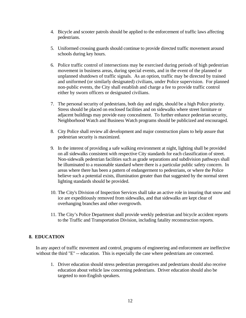- 4. Bicycle and scooter patrols should be applied to the enforcement of traffic laws affecting pedestrians.
- 5. Uniformed crossing guards should continue to provide directed traffic movement around schools during key hours.
- 6. Police traffic control of intersections may be exercised during periods of high pedestrian movement in business areas, during special events, and in the event of the planned or unplanned shutdown of traffic signals. As an option, traffic may be directed by trained and uniformed (or similarly designated) civilians, under Police supervision. For planned non-public events, the City shall establish and charge a fee to provide traffic control either by sworn officers or designated civilians.
- 7. The personal security of pedestrians, both day and night, should be a high Police priority. Stress should be placed on enclosed facilities and on sidewalks where street furniture or adjacent buildings may provide easy concealment. To further enhance pedestrian security, Neighborhood Watch and Business Watch programs should be publicized and encouraged.
- 8. City Police shall review all development and major construction plans to help assure that pedestrian security is maximized.
- 9. In the interest of providing a safe walking environment at night, lighting shall be provided on all sidewalks consistent with respective City standards for each classification of street. Non-sidewalk pedestrian facilities such as grade separations and subdivision pathways shall be illuminated to a reasonable standard where there is a particular public safety concern. In areas where there has been a pattern of endangerment to pedestrians, or where the Police believe such a potential exists, illumination greater than that suggested by the normal street lighting standards should be provided.
- 10. The City's Division of Inspection Services shall take an active role in insuring that snow and ice are expeditiously removed from sidewalks, and that sidewalks are kept clear of overhanging branches and other overgrowth.
- 11. The City's Police Department shall provide weekly pedestrian and bicycle accident reports to the Traffic and Transportation Division, including fatality reconstruction reports.

#### **8. EDUCATION**

 In any aspect of traffic movement and control, programs of engineering and enforcement are ineffective without the third "E" -- education. This is especially the case where pedestrians are concerned.

1. Driver education should stress pedestrian prerogatives and pedestrians should also receive education about vehicle law concerning pedestrians. Driver education should also be targeted to non-English speakers.